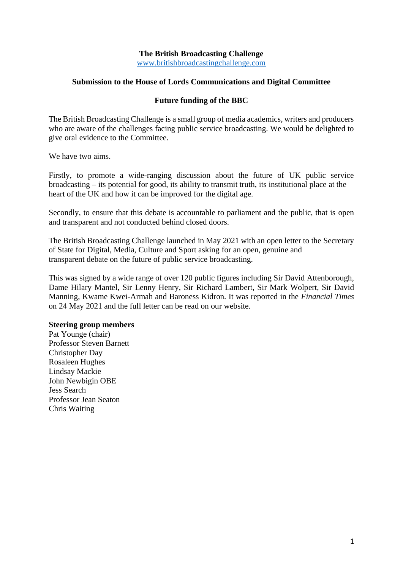# **The British Broadcasting Challenge**

[www.britishbroadcastingchallenge.com](http://www.britishbroadcastingchallenge.com/)

#### **Submission to the House of Lords Communications and Digital Committee**

#### **Future funding of the BBC**

The British Broadcasting Challenge is a small group of media academics, writers and producers who are aware of the challenges facing public service broadcasting. We would be delighted to give oral evidence to the Committee.

We have two aims.

Firstly, to promote a wide-ranging discussion about the future of UK public service broadcasting – its potential for good, its ability to transmit truth, its institutional place at the heart of the UK and how it can be improved for the digital age.

Secondly, to ensure that this debate is accountable to parliament and the public, that is open and transparent and not conducted behind closed doors.

The British Broadcasting Challenge launched in May 2021 with an open letter to the Secretary of State for Digital, Media, Culture and Sport asking for an open, genuine and transparent debate on the future of public service broadcasting.

This was signed by a wide range of over 120 public figures including Sir David Attenborough, Dame Hilary Mantel, Sir Lenny Henry, Sir Richard Lambert, Sir Mark Wolpert, Sir David Manning, Kwame Kwei-Armah and Baroness Kidron. It was reported in the *Financial Times*  on 24 May 2021 and the full letter can be read on our website.

#### **Steering group members**

Pat Younge (chair) Professor Steven Barnett Christopher Day Rosaleen Hughes Lindsay Mackie John Newbigin OBE Jess Search Professor Jean Seaton Chris Waiting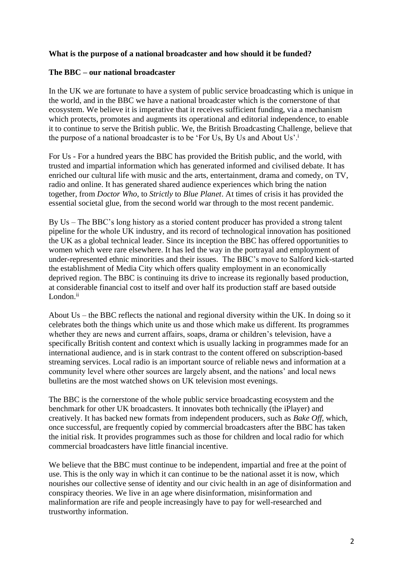### **What is the purpose of a national broadcaster and how should it be funded?**

### **The BBC – our national broadcaster**

In the UK we are fortunate to have a system of public service broadcasting which is unique in the world, and in the BBC we have a national broadcaster which is the cornerstone of that ecosystem. We believe it is imperative that it receives sufficient funding, via a mechanism which protects, promotes and augments its operational and editorial independence, to enable it to continue to serve the British public. We, the British Broadcasting Challenge, believe that the purpose of a national broadcaster is to be 'For Us, By Us and About Us'.<sup>i</sup>

For Us - For a hundred years the BBC has provided the British public, and the world, with trusted and impartial information which has generated informed and civilised debate. It has enriched our cultural life with music and the arts, entertainment, drama and comedy, on TV, radio and online. It has generated shared audience experiences which bring the nation together, from *Doctor Who*, to *Strictly* to *Blue Planet*. At times of crisis it has provided the essential societal glue, from the second world war through to the most recent pandemic.

By Us – The BBC's long history as a storied content producer has provided a strong talent pipeline for the whole UK industry, and its record of technological innovation has positioned the UK as a global technical leader. Since its inception the BBC has offered opportunities to women which were rare elsewhere. It has led the way in the portrayal and employment of under-represented ethnic minorities and their issues. The BBC's move to Salford kick-started the establishment of Media City which offers quality employment in an economically deprived region. The BBC is continuing its drive to increase its regionally based production, at considerable financial cost to itself and over half its production staff are based outside London.<sup>ii</sup>

About Us – the BBC reflects the national and regional diversity within the UK. In doing so it celebrates both the things which unite us and those which make us different. Its programmes whether they are news and current affairs, soaps, drama or children's television, have a specifically British content and context which is usually lacking in programmes made for an international audience, and is in stark contrast to the content offered on subscription-based streaming services. Local radio is an important source of reliable news and information at a community level where other sources are largely absent, and the nations' and local news bulletins are the most watched shows on UK television most evenings.

The BBC is the cornerstone of the whole public service broadcasting ecosystem and the benchmark for other UK broadcasters. It innovates both technically (the iPlayer) and creatively. It has backed new formats from independent producers, such as *Bake Off*, which, once successful, are frequently copied by commercial broadcasters after the BBC has taken the initial risk. It provides programmes such as those for children and local radio for which commercial broadcasters have little financial incentive.

We believe that the BBC must continue to be independent, impartial and free at the point of use. This is the only way in which it can continue to be the national asset it is now, which nourishes our collective sense of identity and our civic health in an age of disinformation and conspiracy theories. We live in an age where disinformation, misinformation and malinformation are rife and people increasingly have to pay for well-researched and trustworthy information.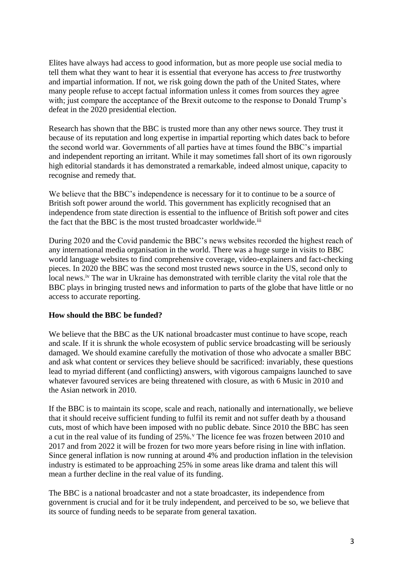Elites have always had access to good information, but as more people use social media to tell them what they want to hear it is essential that everyone has access to *free* trustworthy and impartial information. If not, we risk going down the path of the United States, where many people refuse to accept factual information unless it comes from sources they agree with; just compare the acceptance of the Brexit outcome to the response to Donald Trump's defeat in the 2020 presidential election.

Research has shown that the BBC is trusted more than any other news source. They trust it because of its reputation and long expertise in impartial reporting which dates back to before the second world war. Governments of all parties have at times found the BBC's impartial and independent reporting an irritant. While it may sometimes fall short of its own rigorously high editorial standards it has demonstrated a remarkable, indeed almost unique, capacity to recognise and remedy that.

We believe that the BBC's independence is necessary for it to continue to be a source of British soft power around the world. This government has explicitly recognised that an independence from state direction is essential to the influence of British soft power and cites the fact that the BBC is the most trusted broadcaster worldwide.<sup>iii</sup>

During 2020 and the Covid pandemic the BBC's news websites recorded the highest reach of any international media organisation in the world. There was a huge surge in visits to BBC world language websites to find comprehensive coverage, video-explainers and fact-checking pieces. In 2020 the BBC was the second most trusted news source in the US, second only to local news.<sup>iv</sup> The war in Ukraine has demonstrated with terrible clarity the vital role that the BBC plays in bringing trusted news and information to parts of the globe that have little or no access to accurate reporting.

## **How should the BBC be funded?**

We believe that the BBC as the UK national broadcaster must continue to have scope, reach and scale. If it is shrunk the whole ecosystem of public service broadcasting will be seriously damaged. We should examine carefully the motivation of those who advocate a smaller BBC and ask what content or services they believe should be sacrificed: invariably, these questions lead to myriad different (and conflicting) answers, with vigorous campaigns launched to save whatever favoured services are being threatened with closure, as with 6 Music in 2010 and the Asian network in 2010.

If the BBC is to maintain its scope, scale and reach, nationally and internationally, we believe that it should receive sufficient funding to fulfil its remit and not suffer death by a thousand cuts, most of which have been imposed with no public debate. Since 2010 the BBC has seen a cut in the real value of its funding of 25%.<sup>v</sup> The licence fee was frozen between 2010 and 2017 and from 2022 it will be frozen for two more years before rising in line with inflation. Since general inflation is now running at around 4% and production inflation in the television industry is estimated to be approaching 25% in some areas like drama and talent this will mean a further decline in the real value of its funding.

The BBC is a national broadcaster and not a state broadcaster, its independence from government is crucial and for it be truly independent, and perceived to be so, we believe that its source of funding needs to be separate from general taxation.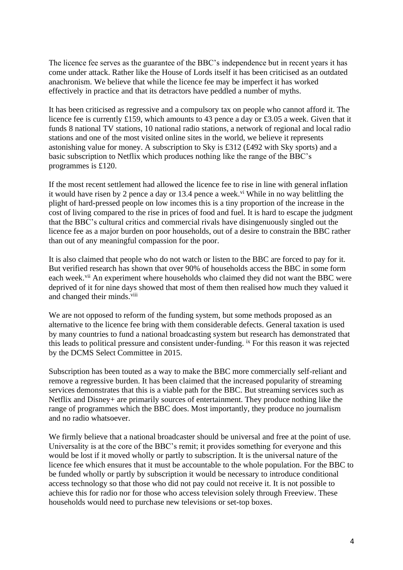The licence fee serves as the guarantee of the BBC's independence but in recent years it has come under attack. Rather like the House of Lords itself it has been criticised as an outdated anachronism. We believe that while the licence fee may be imperfect it has worked effectively in practice and that its detractors have peddled a number of myths.

It has been criticised as regressive and a compulsory tax on people who cannot afford it. The licence fee is currently £159, which amounts to 43 pence a day or £3.05 a week. Given that it funds 8 national TV stations, 10 national radio stations, a network of regional and local radio stations and one of the most visited online sites in the world, we believe it represents astonishing value for money. A subscription to Sky is £312 (£492 with Sky sports) and a basic subscription to Netflix which produces nothing like the range of the BBC's programmes is £120.

If the most recent settlement had allowed the licence fee to rise in line with general inflation it would have risen by 2 pence a day or 13.4 pence a week.<sup>vi</sup> While in no way belittling the plight of hard-pressed people on low incomes this is a tiny proportion of the increase in the cost of living compared to the rise in prices of food and fuel. It is hard to escape the judgment that the BBC's cultural critics and commercial rivals have disingenuously singled out the licence fee as a major burden on poor households, out of a desire to constrain the BBC rather than out of any meaningful compassion for the poor.

It is also claimed that people who do not watch or listen to the BBC are forced to pay for it. But verified research has shown that over 90% of households access the BBC in some form each week.<sup>vii</sup> An experiment where households who claimed they did not want the BBC were deprived of it for nine days showed that most of them then realised how much they valued it and changed their minds.<sup>viii</sup>

We are not opposed to reform of the funding system, but some methods proposed as an alternative to the licence fee bring with them considerable defects. General taxation is used by many countries to fund a national broadcasting system but research has demonstrated that this leads to political pressure and consistent under-funding. ix For this reason it was rejected by the DCMS Select Committee in 2015.

Subscription has been touted as a way to make the BBC more commercially self-reliant and remove a regressive burden. It has been claimed that the increased popularity of streaming services demonstrates that this is a viable path for the BBC. But streaming services such as Netflix and Disney+ are primarily sources of entertainment. They produce nothing like the range of programmes which the BBC does. Most importantly, they produce no journalism and no radio whatsoever.

We firmly believe that a national broadcaster should be universal and free at the point of use. Universality is at the core of the BBC's remit; it provides something for everyone and this would be lost if it moved wholly or partly to subscription. It is the universal nature of the licence fee which ensures that it must be accountable to the whole population. For the BBC to be funded wholly or partly by subscription it would be necessary to introduce conditional access technology so that those who did not pay could not receive it. It is not possible to achieve this for radio nor for those who access television solely through Freeview. These households would need to purchase new televisions or set-top boxes.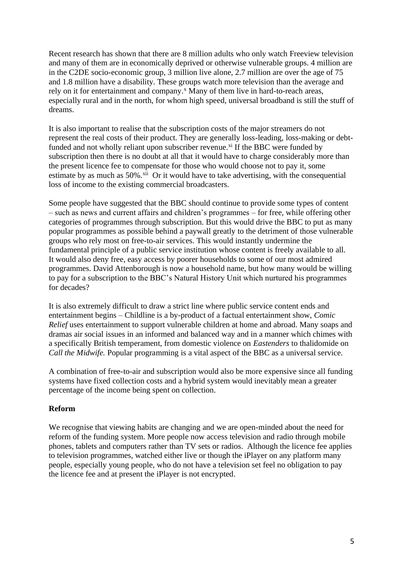Recent research has shown that there are 8 million adults who only watch Freeview television and many of them are in economically deprived or otherwise vulnerable groups. 4 million are in the C2DE socio-economic group, 3 million live alone, 2.7 million are over the age of 75 and 1.8 million have a disability. These groups watch more television than the average and rely on it for entertainment and company.<sup>x</sup> Many of them live in hard-to-reach areas, especially rural and in the north, for whom high speed, universal broadband is still the stuff of dreams.

It is also important to realise that the subscription costs of the major streamers do not represent the real costs of their product. They are generally loss-leading, loss-making or debtfunded and not wholly reliant upon subscriber revenue. $x$ <sup>i</sup> If the BBC were funded by subscription then there is no doubt at all that it would have to charge considerably more than the present licence fee to compensate for those who would choose not to pay it, some estimate by as much as  $50\%$ .<sup>xii</sup> Or it would have to take advertising, with the consequential loss of income to the existing commercial broadcasters.

Some people have suggested that the BBC should continue to provide some types of content – such as news and current affairs and children's programmes – for free, while offering other categories of programmes through subscription. But this would drive the BBC to put as many popular programmes as possible behind a paywall greatly to the detriment of those vulnerable groups who rely most on free-to-air services. This would instantly undermine the fundamental principle of a public service institution whose content is freely available to all. It would also deny free, easy access by poorer households to some of our most admired programmes. David Attenborough is now a household name, but how many would be willing to pay for a subscription to the BBC's Natural History Unit which nurtured his programmes for decades?

It is also extremely difficult to draw a strict line where public service content ends and entertainment begins – Childline is a by-product of a factual entertainment show, *Comic Relief* uses entertainment to support vulnerable children at home and abroad. Many soaps and dramas air social issues in an informed and balanced way and in a manner which chimes with a specifically British temperament, from domestic violence on *Eastenders* to thalidomide on *Call the Midwife.* Popular programming is a vital aspect of the BBC as a universal service.

A combination of free-to-air and subscription would also be more expensive since all funding systems have fixed collection costs and a hybrid system would inevitably mean a greater percentage of the income being spent on collection.

## **Reform**

We recognise that viewing habits are changing and we are open-minded about the need for reform of the funding system. More people now access television and radio through mobile phones, tablets and computers rather than TV sets or radios. Although the licence fee applies to television programmes, watched either live or though the iPlayer on any platform many people, especially young people, who do not have a television set feel no obligation to pay the licence fee and at present the iPlayer is not encrypted.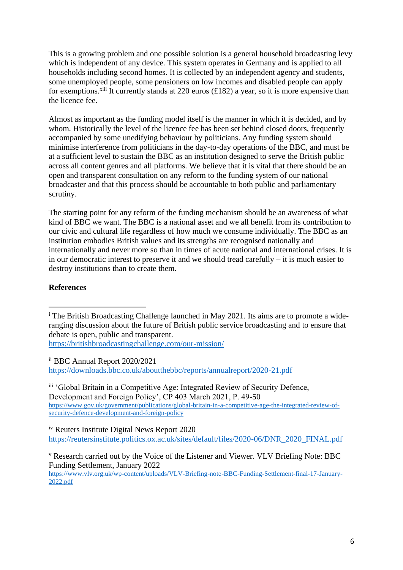This is a growing problem and one possible solution is a general household broadcasting levy which is independent of any device. This system operates in Germany and is applied to all households including second homes. It is collected by an independent agency and students, some unemployed people, some pensioners on low incomes and disabled people can apply for exemptions.<sup>xiii</sup> It currently stands at 220 euros (£182) a year, so it is more expensive than the licence fee.

Almost as important as the funding model itself is the manner in which it is decided, and by whom. Historically the level of the licence fee has been set behind closed doors, frequently accompanied by some unedifying behaviour by politicians. Any funding system should minimise interference from politicians in the day-to-day operations of the BBC, and must be at a sufficient level to sustain the BBC as an institution designed to serve the British public across all content genres and all platforms. We believe that it is vital that there should be an open and transparent consultation on any reform to the funding system of our national broadcaster and that this process should be accountable to both public and parliamentary scrutiny.

The starting point for any reform of the funding mechanism should be an awareness of what kind of BBC we want. The BBC is a national asset and we all benefit from its contribution to our civic and cultural life regardless of how much we consume individually. The BBC as an institution embodies British values and its strengths are recognised nationally and internationally and never more so than in times of acute national and international crises. It is in our democratic interest to preserve it and we should tread carefully – it is much easier to destroy institutions than to create them.

# **References**

<https://britishbroadcastingchallenge.com/our-mission/>

ii BBC Annual Report 2020/2021 <https://downloads.bbc.co.uk/aboutthebbc/reports/annualreport/2020-21.pdf>

iii 'Global Britain in a Competitive Age: Integrated Review of Security Defence, Development and Foreign Policy', CP 403 March 2021, P. 49-50 [https://www.gov.uk/government/publications/global-britain-in-a-competitive-age-the-integrated-review-of](https://www.gov.uk/government/publications/global-britain-in-a-competitive-age-the-integrated-review-of-security-defence-development-and-foreign-policy)[security-defence-development-and-foreign-policy](https://www.gov.uk/government/publications/global-britain-in-a-competitive-age-the-integrated-review-of-security-defence-development-and-foreign-policy)

iv Reuters Institute Digital News Report 2020

[https://reutersinstitute.politics.ox.ac.uk/sites/default/files/2020-06/DNR\\_2020\\_FINAL.pdf](https://reutersinstitute.politics.ox.ac.uk/sites/default/files/2020-06/DNR_2020_FINAL.pdf)

[https://www.vlv.org.uk/wp-content/uploads/VLV-Briefing-note-BBC-Funding-Settlement-final-17-January-](https://www.vlv.org.uk/wp-content/uploads/VLV-Briefing-note-BBC-Funding-Settlement-final-17-January-2022.pdf)[2022.pdf](https://www.vlv.org.uk/wp-content/uploads/VLV-Briefing-note-BBC-Funding-Settlement-final-17-January-2022.pdf)

<sup>&</sup>lt;sup>i</sup> The British Broadcasting Challenge launched in May 2021. Its aims are to promote a wideranging discussion about the future of British public service broadcasting and to ensure that debate is open, public and transparent.

<sup>v</sup> Research carried out by the Voice of the Listener and Viewer. VLV Briefing Note: BBC Funding Settlement, January 2022